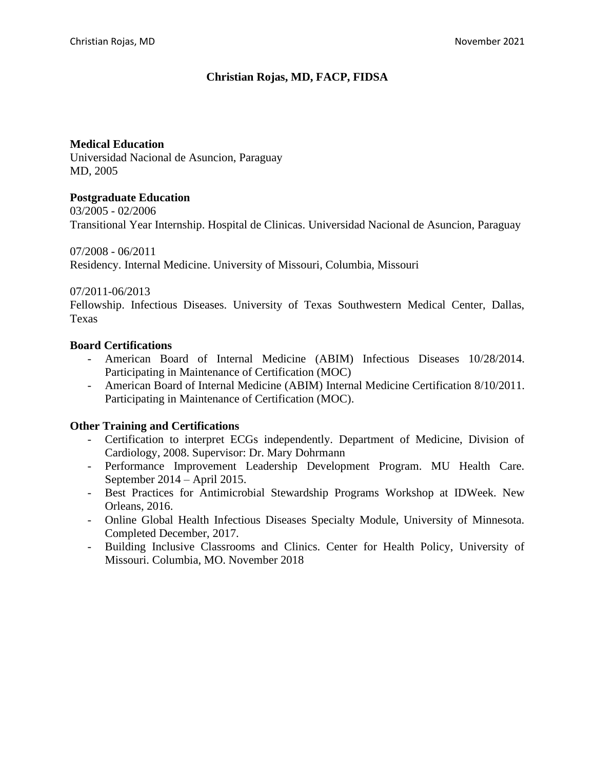## **Christian Rojas, MD, FACP, FIDSA**

## **Medical Education**

Universidad Nacional de Asuncion, Paraguay MD, 2005

### **Postgraduate Education**

03/2005 - 02/2006 Transitional Year Internship. Hospital de Clinicas. Universidad Nacional de Asuncion, Paraguay

07/2008 - 06/2011 Residency. Internal Medicine. University of Missouri, Columbia, Missouri

## 07/2011-06/2013

Fellowship. Infectious Diseases. University of Texas Southwestern Medical Center, Dallas, Texas

## **Board Certifications**

- American Board of Internal Medicine (ABIM) Infectious Diseases 10/28/2014. Participating in Maintenance of Certification (MOC)
- American Board of Internal Medicine (ABIM) Internal Medicine Certification 8/10/2011. Participating in Maintenance of Certification (MOC).

## **Other Training and Certifications**

- Certification to interpret ECGs independently. Department of Medicine, Division of Cardiology, 2008. Supervisor: Dr. Mary Dohrmann
- Performance Improvement Leadership Development Program. MU Health Care. September 2014 – April 2015.
- Best Practices for Antimicrobial Stewardship Programs Workshop at IDWeek. New Orleans, 2016.
- Online Global Health Infectious Diseases Specialty Module, University of Minnesota. Completed December, 2017.
- Building Inclusive Classrooms and Clinics. Center for Health Policy, University of Missouri. Columbia, MO. November 2018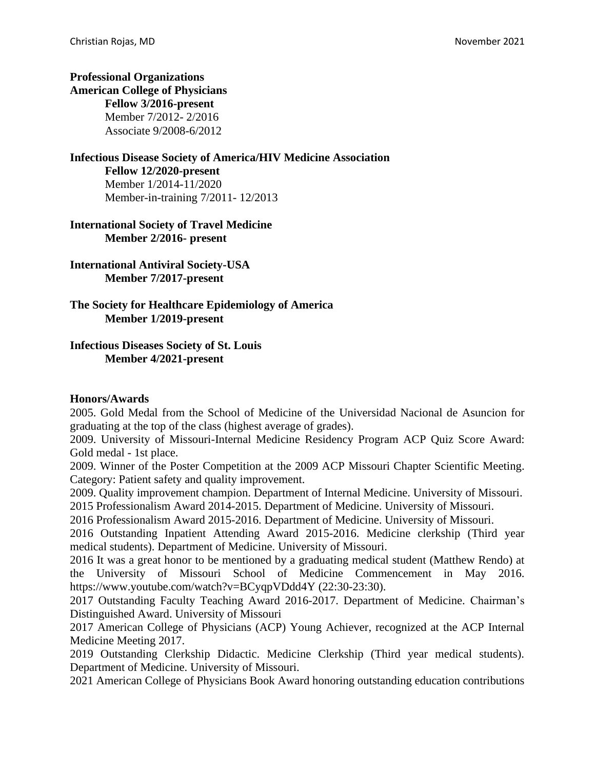## **Professional Organizations American College of Physicians Fellow 3/2016-present** Member 7/2012- 2/2016

Associate 9/2008-6/2012

# **Infectious Disease Society of America/HIV Medicine Association**

**Fellow 12/2020-present** Member 1/2014-11/2020 Member-in-training 7/2011- 12/2013

**International Society of Travel Medicine Member 2/2016- present**

**International Antiviral Society-USA Member 7/2017-present**

**The Society for Healthcare Epidemiology of America Member 1/2019-present**

## **Infectious Diseases Society of St. Louis Member 4/2021-present**

## **Honors/Awards**

2005. Gold Medal from the School of Medicine of the Universidad Nacional de Asuncion for graduating at the top of the class (highest average of grades).

2009. University of Missouri-Internal Medicine Residency Program ACP Quiz Score Award: Gold medal - 1st place.

2009. Winner of the Poster Competition at the 2009 ACP Missouri Chapter Scientific Meeting. Category: Patient safety and quality improvement.

2009. Quality improvement champion. Department of Internal Medicine. University of Missouri. 2015 Professionalism Award 2014-2015. Department of Medicine. University of Missouri.

2016 Professionalism Award 2015-2016. Department of Medicine. University of Missouri.

2016 Outstanding Inpatient Attending Award 2015-2016. Medicine clerkship (Third year medical students). Department of Medicine. University of Missouri.

2016 It was a great honor to be mentioned by a graduating medical student (Matthew Rendo) at the University of Missouri School of Medicine Commencement in May 2016. https://www.youtube.com/watch?v=BCyqpVDdd4Y (22:30-23:30).

2017 Outstanding Faculty Teaching Award 2016-2017. Department of Medicine. Chairman's Distinguished Award. University of Missouri

2017 American College of Physicians (ACP) Young Achiever, recognized at the ACP Internal Medicine Meeting 2017.

2019 Outstanding Clerkship Didactic. Medicine Clerkship (Third year medical students). Department of Medicine. University of Missouri.

2021 American College of Physicians Book Award honoring outstanding education contributions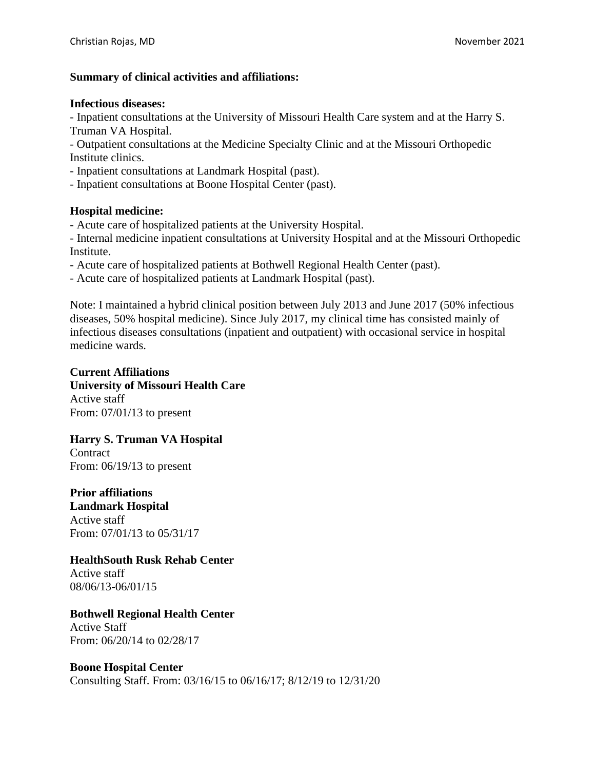## **Summary of clinical activities and affiliations:**

### **Infectious diseases:**

- Inpatient consultations at the University of Missouri Health Care system and at the Harry S. Truman VA Hospital.

- Outpatient consultations at the Medicine Specialty Clinic and at the Missouri Orthopedic Institute clinics.

- Inpatient consultations at Landmark Hospital (past).

- Inpatient consultations at Boone Hospital Center (past).

### **Hospital medicine:**

- Acute care of hospitalized patients at the University Hospital.

- Internal medicine inpatient consultations at University Hospital and at the Missouri Orthopedic Institute.

- Acute care of hospitalized patients at Bothwell Regional Health Center (past).

- Acute care of hospitalized patients at Landmark Hospital (past).

Note: I maintained a hybrid clinical position between July 2013 and June 2017 (50% infectious diseases, 50% hospital medicine). Since July 2017, my clinical time has consisted mainly of infectious diseases consultations (inpatient and outpatient) with occasional service in hospital medicine wards.

### **Current Affiliations University of Missouri Health Care** Active staff From: 07/01/13 to present

**Harry S. Truman VA Hospital Contract** 

From: 06/19/13 to present

**Prior affiliations Landmark Hospital**  Active staff From: 07/01/13 to 05/31/17

## **HealthSouth Rusk Rehab Center**

Active staff 08/06/13-06/01/15

## **Bothwell Regional Health Center**

Active Staff From: 06/20/14 to 02/28/17

## **Boone Hospital Center**

Consulting Staff. From: 03/16/15 to 06/16/17; 8/12/19 to 12/31/20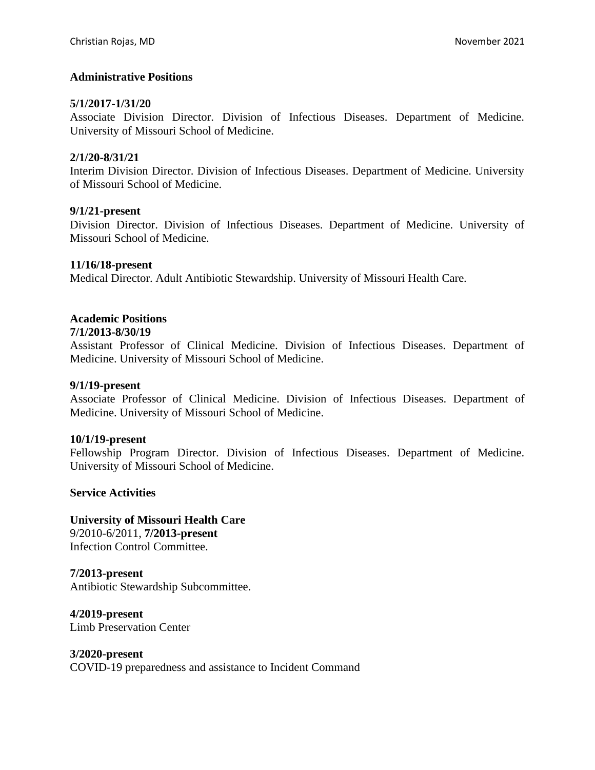### **Administrative Positions**

#### **5/1/2017-1/31/20**

Associate Division Director. Division of Infectious Diseases. Department of Medicine. University of Missouri School of Medicine.

#### **2/1/20-8/31/21**

Interim Division Director. Division of Infectious Diseases. Department of Medicine. University of Missouri School of Medicine.

#### **9/1/21-present**

Division Director. Division of Infectious Diseases. Department of Medicine. University of Missouri School of Medicine.

#### **11/16/18-present**

Medical Director. Adult Antibiotic Stewardship. University of Missouri Health Care.

### **Academic Positions**

#### **7/1/2013-8/30/19**

Assistant Professor of Clinical Medicine. Division of Infectious Diseases. Department of Medicine. University of Missouri School of Medicine.

#### **9/1/19-present**

Associate Professor of Clinical Medicine. Division of Infectious Diseases. Department of Medicine. University of Missouri School of Medicine.

#### **10/1/19-present**

Fellowship Program Director. Division of Infectious Diseases. Department of Medicine. University of Missouri School of Medicine.

#### **Service Activities**

**University of Missouri Health Care** 9/2010-6/2011, **7/2013-present**

Infection Control Committee.

## **7/2013-present**

Antibiotic Stewardship Subcommittee.

**4/2019-present** Limb Preservation Center

#### **3/2020-present**

COVID-19 preparedness and assistance to Incident Command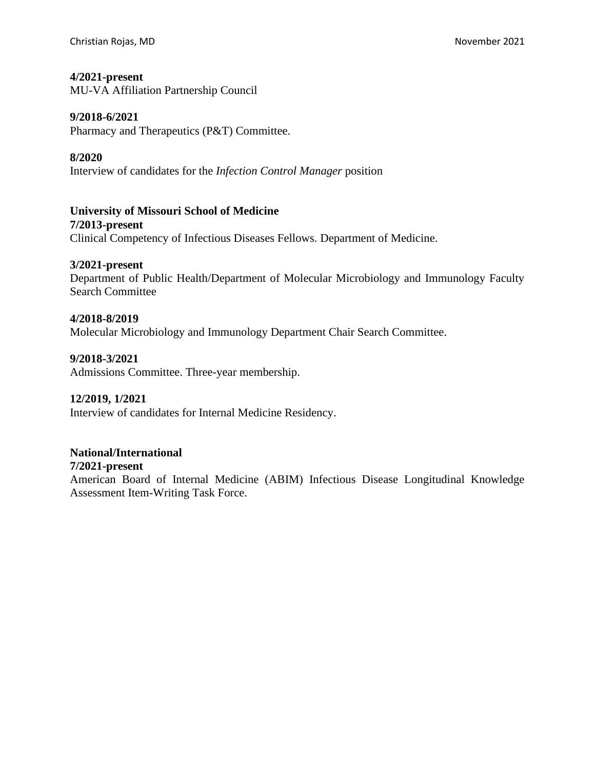### **4/2021-present**

MU-VA Affiliation Partnership Council

### **9/2018-6/2021**

Pharmacy and Therapeutics (P&T) Committee.

### **8/2020**

Interview of candidates for the *Infection Control Manager* position

**University of Missouri School of Medicine 7/2013-present** Clinical Competency of Infectious Diseases Fellows. Department of Medicine.

#### **3/2021-present**

Department of Public Health/Department of Molecular Microbiology and Immunology Faculty Search Committee

#### **4/2018-8/2019**

Molecular Microbiology and Immunology Department Chair Search Committee.

### **9/2018-3/2021**

Admissions Committee. Three-year membership.

### **12/2019, 1/2021**

Interview of candidates for Internal Medicine Residency.

### **National/International**

#### **7/2021-present**

American Board of Internal Medicine (ABIM) Infectious Disease Longitudinal Knowledge Assessment Item-Writing Task Force.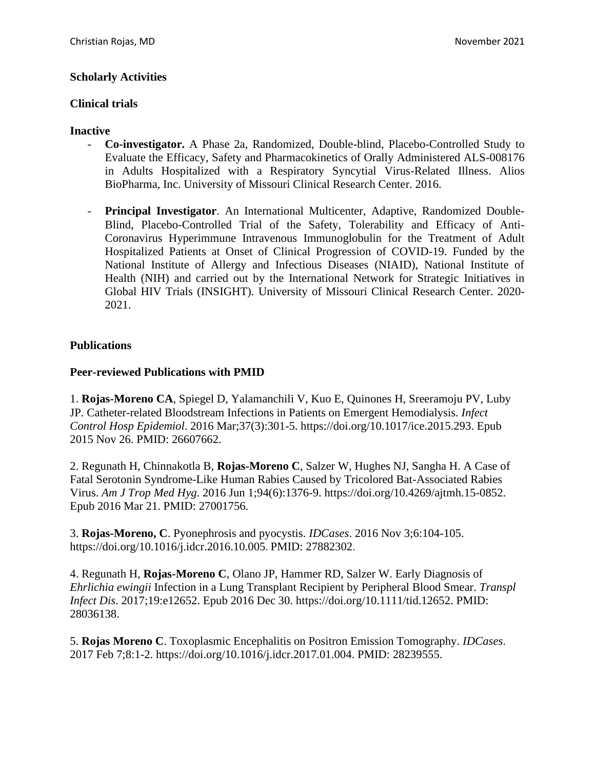## **Scholarly Activities**

### **Clinical trials**

### **Inactive**

- **Co-investigator.** A Phase 2a, Randomized, Double-blind, Placebo-Controlled Study to Evaluate the Efficacy, Safety and Pharmacokinetics of Orally Administered ALS-008176 in Adults Hospitalized with a Respiratory Syncytial Virus-Related Illness. Alios BioPharma, Inc. University of Missouri Clinical Research Center. 2016.
- **Principal Investigator**. An International Multicenter, Adaptive, Randomized Double-Blind, Placebo-Controlled Trial of the Safety, Tolerability and Efficacy of Anti-Coronavirus Hyperimmune Intravenous Immunoglobulin for the Treatment of Adult Hospitalized Patients at Onset of Clinical Progression of COVID-19. Funded by the National Institute of Allergy and Infectious Diseases (NIAID), National Institute of Health (NIH) and carried out by the International Network for Strategic Initiatives in Global HIV Trials (INSIGHT). University of Missouri Clinical Research Center. 2020- 2021.

## **Publications**

### **Peer-reviewed Publications with PMID**

1. **Rojas-Moreno CA**, Spiegel D, Yalamanchili V, Kuo E, Quinones H, Sreeramoju PV, Luby JP. Catheter-related Bloodstream Infections in Patients on Emergent Hemodialysis. *Infect Control Hosp Epidemiol*. 2016 Mar;37(3):301-5. https://doi.org/10.1017/ice.2015.293. Epub 2015 Nov 26. PMID: 26607662.

2. Regunath H, Chinnakotla B, **Rojas-Moreno C**, Salzer W, Hughes NJ, Sangha H. A Case of Fatal Serotonin Syndrome-Like Human Rabies Caused by Tricolored Bat-Associated Rabies Virus. *Am J Trop Med Hyg*. 2016 Jun 1;94(6):1376-9. https://doi.org/10.4269/ajtmh.15-0852. Epub 2016 Mar 21. PMID: 27001756.

3. **Rojas-Moreno, C**. Pyonephrosis and pyocystis. *IDCases*. 2016 Nov 3;6:104-105. https://doi.org/10.1016/j.idcr.2016.10.005. PMID: 27882302.

4. Regunath H, **Rojas-Moreno C**, Olano JP, Hammer RD, Salzer W. Early Diagnosis of *Ehrlichia ewingii* Infection in a Lung Transplant Recipient by Peripheral Blood Smear. *Transpl Infect Dis*. 2017;19:e12652. Epub 2016 Dec 30. https://doi.org/10.1111/tid.12652. PMID: 28036138.

5. **Rojas Moreno C**. Toxoplasmic Encephalitis on Positron Emission Tomography. *IDCases*. 2017 Feb 7;8:1-2. https://doi.org/10.1016/j.idcr.2017.01.004. PMID: 28239555.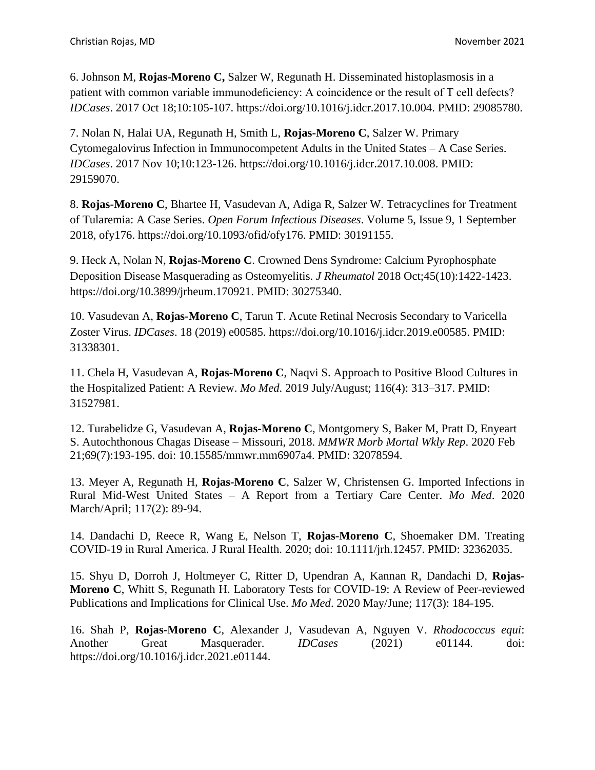6. Johnson M, **Rojas-Moreno C,** Salzer W, Regunath H. Disseminated histoplasmosis in a patient with common variable immunodeficiency: A coincidence or the result of T cell defects? *IDCases*. 2017 Oct 18;10:105-107. https://doi.org/10.1016/j.idcr.2017.10.004. PMID: 29085780.

7. Nolan N, Halai UA, Regunath H, Smith L, **Rojas-Moreno C**, Salzer W. Primary Cytomegalovirus Infection in Immunocompetent Adults in the United States – A Case Series. *IDCases*. 2017 Nov 10;10:123-126. https://doi.org/10.1016/j.idcr.2017.10.008. PMID: 29159070.

8. **Rojas-Moreno C**, Bhartee H, Vasudevan A, Adiga R, Salzer W. Tetracyclines for Treatment of Tularemia: A Case Series. *Open Forum Infectious Diseases*. Volume 5, Issue 9, 1 September 2018, ofy176. https://doi.org/10.1093/ofid/ofy176. PMID: 30191155.

9. Heck A, Nolan N, **Rojas-Moreno C**. Crowned Dens Syndrome: Calcium Pyrophosphate Deposition Disease Masquerading as Osteomyelitis. *J Rheumatol* 2018 Oct;45(10):1422-1423. https://doi.org/10.3899/jrheum.170921. PMID: 30275340.

10. Vasudevan A, **Rojas-Moreno C**, Tarun T. Acute Retinal Necrosis Secondary to Varicella Zoster Virus. *IDCases*. 18 (2019) e00585. https://doi.org/10.1016/j.idcr.2019.e00585. PMID: 31338301.

11. Chela H, Vasudevan A, **Rojas-Moreno C**, Naqvi S. Approach to Positive Blood Cultures in the Hospitalized Patient: A Review. *[Mo Med](https://www.ncbi.nlm.nih.gov/pmc/articles/PMC6699810/)*. 2019 July/August; 116(4): 313–317. PMID: 31527981.

12. Turabelidze G, Vasudevan A, **Rojas-Moreno C**, Montgomery S, Baker M, Pratt D, Enyeart S. Autochthonous Chagas Disease – Missouri, 2018. *MMWR Morb Mortal Wkly Rep*. 2020 Feb 21;69(7):193-195. doi: 10.15585/mmwr.mm6907a4. PMID: 32078594.

13. Meyer A, Regunath H, **Rojas-Moreno C**, Salzer W, Christensen G. Imported Infections in Rural Mid-West United States – A Report from a Tertiary Care Center. *[Mo Med](https://www.ncbi.nlm.nih.gov/pmc/articles/PMC6699810/)*. 2020 March/April; 117(2): 89-94.

14. Dandachi D, Reece R, Wang E, Nelson T, **Rojas-Moreno C**, Shoemaker DM. Treating COVID-19 in Rural America. J Rural Health. 2020; doi: 10.1111/jrh.12457. PMID: 32362035.

15. Shyu D, Dorroh J, Holtmeyer C, Ritter D, Upendran A, Kannan R, Dandachi D, **Rojas-Moreno C**, Whitt S, Regunath H. Laboratory Tests for COVID-19: A Review of Peer-reviewed Publications and Implications for Clinical Use. *[Mo Med](https://www.ncbi.nlm.nih.gov/pmc/articles/PMC6699810/)*. 2020 May/June; 117(3): 184-195.

16. Shah P, **Rojas-Moreno C**, Alexander J, Vasudevan A, Nguyen V. *Rhodococcus equi*: Another Great Masquerader. *IDCases* (2021) e01144. doi: https://doi.org/10.1016/j.idcr.2021.e01144.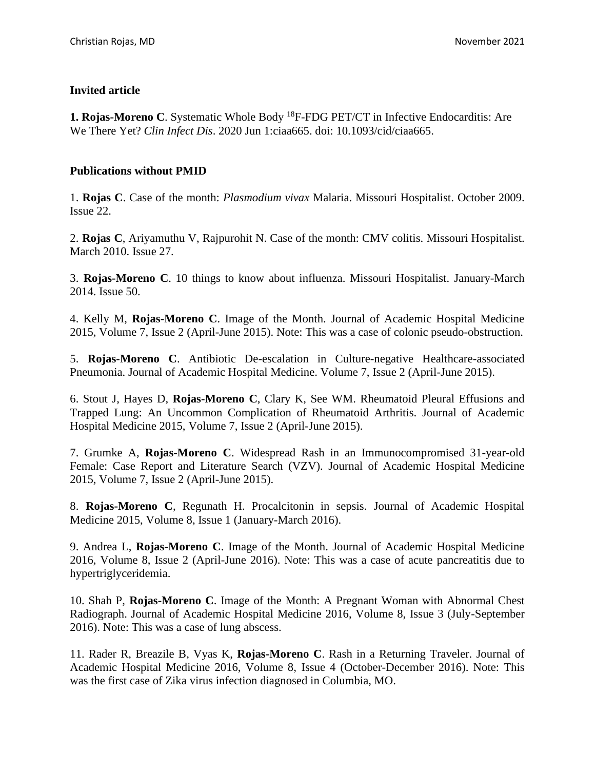## **Invited article**

**1. Rojas-Moreno C**. Systematic Whole Body <sup>18</sup>F-FDG PET/CT in Infective Endocarditis: Are We There Yet? *Clin Infect Dis*. 2020 Jun 1:ciaa665. doi: 10.1093/cid/ciaa665.

### **Publications without PMID**

1. **Rojas C**. Case of the month: *Plasmodium vivax* Malaria. Missouri Hospitalist. October 2009. Issue 22.

2. **Rojas C**, Ariyamuthu V, Rajpurohit N. Case of the month: CMV colitis. Missouri Hospitalist. March 2010. Issue 27.

3. **Rojas-Moreno C**. 10 things to know about influenza. Missouri Hospitalist. January-March 2014. Issue 50.

4. Kelly M, **Rojas-Moreno C**. Image of the Month. Journal of Academic Hospital Medicine 2015, Volume 7, Issue 2 (April-June 2015). Note: This was a case of colonic pseudo-obstruction.

5. **Rojas-Moreno C**. Antibiotic De-escalation in Culture-negative Healthcare-associated Pneumonia. Journal of Academic Hospital Medicine. Volume 7, Issue 2 (April-June 2015).

6. Stout J, Hayes D, **Rojas-Moreno C**, Clary K, See WM. Rheumatoid Pleural Effusions and Trapped Lung: An Uncommon Complication of Rheumatoid Arthritis. Journal of Academic Hospital Medicine 2015, Volume 7, Issue 2 (April-June 2015).

7. Grumke A, **Rojas-Moreno C**. Widespread Rash in an Immunocompromised 31-year-old Female: Case Report and Literature Search (VZV). Journal of Academic Hospital Medicine 2015, Volume 7, Issue 2 (April-June 2015).

8. **Rojas-Moreno C**, Regunath H. Procalcitonin in sepsis. Journal of Academic Hospital Medicine 2015, Volume 8, Issue 1 (January-March 2016).

9. Andrea L, **Rojas-Moreno C**. Image of the Month. Journal of Academic Hospital Medicine 2016, Volume 8, Issue 2 (April-June 2016). Note: This was a case of acute pancreatitis due to hypertriglyceridemia.

10. Shah P, **Rojas-Moreno C**. Image of the Month: A Pregnant Woman with Abnormal Chest Radiograph. Journal of Academic Hospital Medicine 2016, Volume 8, Issue 3 (July-September 2016). Note: This was a case of lung abscess.

11. Rader R, Breazile B, Vyas K, **Rojas-Moreno C**. Rash in a Returning Traveler. Journal of Academic Hospital Medicine 2016, Volume 8, Issue 4 (October-December 2016). Note: This was the first case of Zika virus infection diagnosed in Columbia, MO.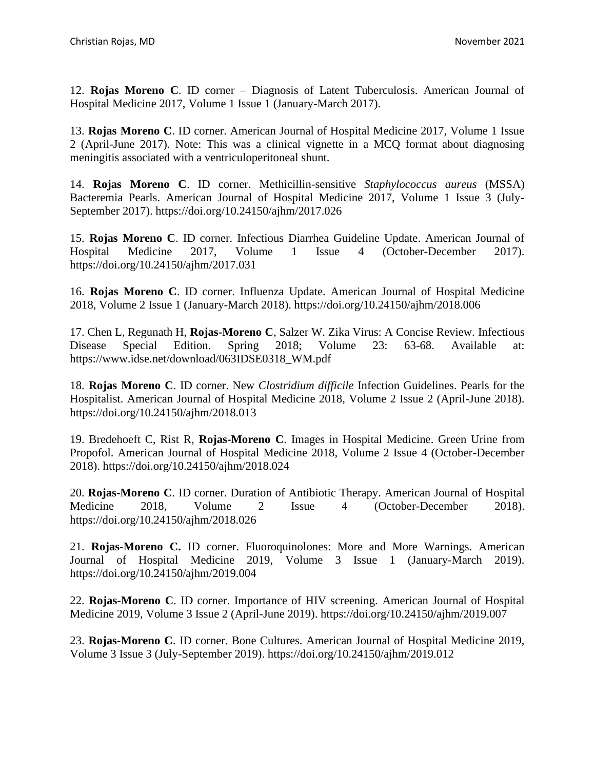12. **Rojas Moreno C**. ID corner – Diagnosis of Latent Tuberculosis. American Journal of Hospital Medicine 2017, Volume 1 Issue 1 (January-March 2017).

13. **Rojas Moreno C**. ID corner. American Journal of Hospital Medicine 2017, Volume 1 Issue 2 (April-June 2017). Note: This was a clinical vignette in a MCQ format about diagnosing meningitis associated with a ventriculoperitoneal shunt.

14. **Rojas Moreno C**. ID corner. Methicillin-sensitive *Staphylococcus aureus* (MSSA) Bacteremia Pearls. American Journal of Hospital Medicine 2017, Volume 1 Issue 3 (July-September 2017). https://doi.org/10.24150/ajhm/2017.026

15. **Rojas Moreno C**. ID corner. Infectious Diarrhea Guideline Update. American Journal of Hospital Medicine 2017, Volume 1 Issue 4 (October-December 2017). https://doi.org/10.24150/ajhm/2017.031

16. **Rojas Moreno C**. ID corner. Influenza Update. American Journal of Hospital Medicine 2018, Volume 2 Issue 1 (January-March 2018). https://doi.org/10.24150/ajhm/2018.006

17. Chen L, Regunath H, **Rojas-Moreno C**, Salzer W. Zika Virus: A Concise Review. Infectious Disease Special Edition. Spring 2018; Volume 23: 63-68. Available at: https://www.idse.net/download/063IDSE0318\_WM.pdf

18. **Rojas Moreno C**. ID corner. New *Clostridium difficile* Infection Guidelines. Pearls for the Hospitalist. American Journal of Hospital Medicine 2018, Volume 2 Issue 2 (April-June 2018). https://doi.org/10.24150/ajhm/2018.013

19. Bredehoeft C, Rist R, **Rojas-Moreno C**. Images in Hospital Medicine. Green Urine from Propofol. American Journal of Hospital Medicine 2018, Volume 2 Issue 4 (October-December 2018). https://doi.org/10.24150/ajhm/2018.024

20. **Rojas-Moreno C**. ID corner. Duration of Antibiotic Therapy. American Journal of Hospital Medicine 2018, Volume 2 Issue 4 (October-December 2018). https://doi.org/10.24150/ajhm/2018.026

21. **Rojas-Moreno C.** ID corner. Fluoroquinolones: More and More Warnings. American Journal of Hospital Medicine 2019, Volume 3 Issue 1 (January-March 2019). https://doi.org/10.24150/ajhm/2019.004

22. **Rojas-Moreno C**. ID corner. Importance of HIV screening. American Journal of Hospital Medicine 2019, Volume 3 Issue 2 (April-June 2019). https://doi.org/10.24150/ajhm/2019.007

23. **Rojas-Moreno C**. ID corner. Bone Cultures. American Journal of Hospital Medicine 2019, Volume 3 Issue 3 (July-September 2019). https://doi.org/10.24150/ajhm/2019.012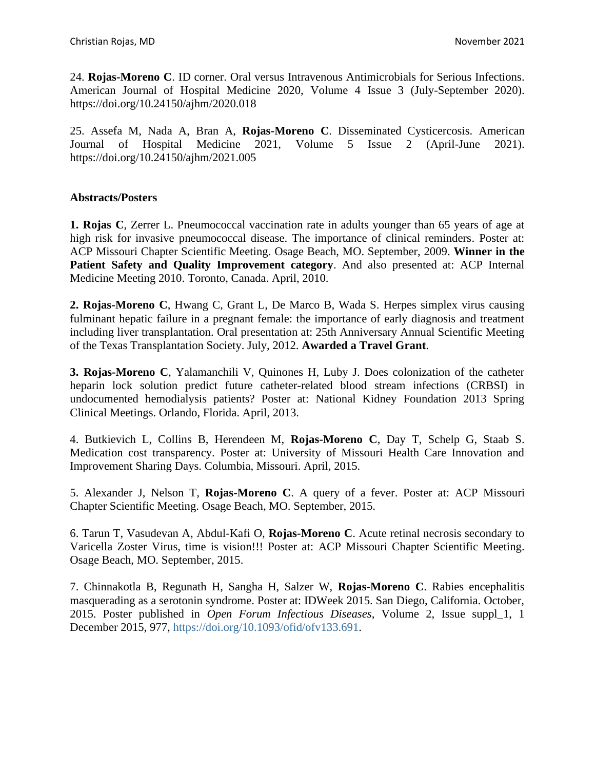24. **Rojas-Moreno C**. ID corner. Oral versus Intravenous Antimicrobials for Serious Infections. American Journal of Hospital Medicine 2020, Volume 4 Issue 3 (July-September 2020). https://doi.org/10.24150/ajhm/2020.018

25. Assefa M, Nada A, Bran A, **Rojas-Moreno C**. Disseminated Cysticercosis. American Journal of Hospital Medicine 2021, Volume 5 Issue 2 (April-June 2021). https://doi.org/10.24150/ajhm/2021.005

### **Abstracts/Posters**

**1. Rojas C**, Zerrer L. Pneumococcal vaccination rate in adults younger than 65 years of age at high risk for invasive pneumococcal disease. The importance of clinical reminders. Poster at: ACP Missouri Chapter Scientific Meeting. Osage Beach, MO. September, 2009. **Winner in the Patient Safety and Quality Improvement category**. And also presented at: ACP Internal Medicine Meeting 2010. Toronto, Canada. April, 2010.

**2. Rojas-Moreno C**, Hwang C, Grant L, De Marco B, Wada S. Herpes simplex virus causing fulminant hepatic failure in a pregnant female: the importance of early diagnosis and treatment including liver transplantation. Oral presentation at: 25th Anniversary Annual Scientific Meeting of the Texas Transplantation Society. July, 2012. **Awarded a Travel Grant**.

**3. Rojas-Moreno C**, Yalamanchili V, Quinones H, Luby J. Does colonization of the catheter heparin lock solution predict future catheter-related blood stream infections (CRBSI) in undocumented hemodialysis patients? Poster at: National Kidney Foundation 2013 Spring Clinical Meetings. Orlando, Florida. April, 2013.

4. Butkievich L, Collins B, Herendeen M, **Rojas-Moreno C**, Day T, Schelp G, Staab S. Medication cost transparency. Poster at: University of Missouri Health Care Innovation and Improvement Sharing Days. Columbia, Missouri. April, 2015.

5. Alexander J, Nelson T, **Rojas-Moreno C**. A query of a fever. Poster at: ACP Missouri Chapter Scientific Meeting. Osage Beach, MO. September, 2015.

6. Tarun T, Vasudevan A, Abdul-Kafi O, **Rojas-Moreno C**. Acute retinal necrosis secondary to Varicella Zoster Virus, time is vision!!! Poster at: ACP Missouri Chapter Scientific Meeting. Osage Beach, MO. September, 2015.

7. Chinnakotla B, Regunath H, Sangha H, Salzer W, **Rojas-Moreno C**. Rabies encephalitis masquerading as a serotonin syndrome. Poster at: IDWeek 2015. San Diego, California. October, 2015. Poster published in *Open Forum Infectious Diseases*, Volume 2, Issue suppl\_1, 1 December 2015, 977, [https://doi.org/10.1093/ofid/ofv133.691.](https://doi.org/10.1093/ofid/ofv133.691)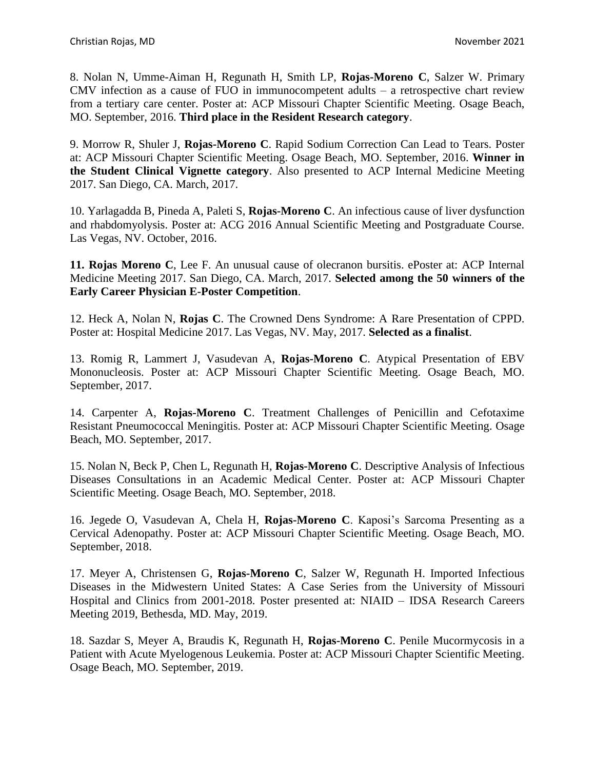8. Nolan N, Umme-Aiman H, Regunath H, Smith LP, **Rojas-Moreno C**, Salzer W. Primary CMV infection as a cause of FUO in immunocompetent adults – a retrospective chart review from a tertiary care center. Poster at: ACP Missouri Chapter Scientific Meeting. Osage Beach, MO. September, 2016. **Third place in the Resident Research category**.

9. Morrow R, Shuler J, **Rojas-Moreno C**. Rapid Sodium Correction Can Lead to Tears. Poster at: ACP Missouri Chapter Scientific Meeting. Osage Beach, MO. September, 2016. **Winner in the Student Clinical Vignette category**. Also presented to ACP Internal Medicine Meeting 2017. San Diego, CA. March, 2017.

10. Yarlagadda B, Pineda A, Paleti S, **Rojas-Moreno C**. An infectious cause of liver dysfunction and rhabdomyolysis. Poster at: ACG 2016 Annual Scientific Meeting and Postgraduate Course. Las Vegas, NV. October, 2016.

**11. Rojas Moreno C**, Lee F. An unusual cause of olecranon bursitis. ePoster at: ACP Internal Medicine Meeting 2017. San Diego, CA. March, 2017. **Selected among the 50 winners of the Early Career Physician E-Poster Competition**.

12. Heck A, Nolan N, **Rojas C**. The Crowned Dens Syndrome: A Rare Presentation of CPPD. Poster at: Hospital Medicine 2017. Las Vegas, NV. May, 2017. **Selected as a finalist**.

13. Romig R, Lammert J, Vasudevan A, **Rojas-Moreno C**. Atypical Presentation of EBV Mononucleosis. Poster at: ACP Missouri Chapter Scientific Meeting. Osage Beach, MO. September, 2017.

14. Carpenter A, **Rojas-Moreno C**. Treatment Challenges of Penicillin and Cefotaxime Resistant Pneumococcal Meningitis. Poster at: ACP Missouri Chapter Scientific Meeting. Osage Beach, MO. September, 2017.

15. Nolan N, Beck P, Chen L, Regunath H, **Rojas-Moreno C**. Descriptive Analysis of Infectious Diseases Consultations in an Academic Medical Center. Poster at: ACP Missouri Chapter Scientific Meeting. Osage Beach, MO. September, 2018.

16. Jegede O, Vasudevan A, Chela H, **Rojas-Moreno C**. Kaposi's Sarcoma Presenting as a Cervical Adenopathy. Poster at: ACP Missouri Chapter Scientific Meeting. Osage Beach, MO. September, 2018.

17. Meyer A, Christensen G, **Rojas-Moreno C**, Salzer W, Regunath H. Imported Infectious Diseases in the Midwestern United States: A Case Series from the University of Missouri Hospital and Clinics from 2001-2018. Poster presented at: NIAID – IDSA Research Careers Meeting 2019, Bethesda, MD. May, 2019.

18. Sazdar S, Meyer A, Braudis K, Regunath H, **Rojas-Moreno C**. Penile Mucormycosis in a Patient with Acute Myelogenous Leukemia. Poster at: ACP Missouri Chapter Scientific Meeting. Osage Beach, MO. September, 2019.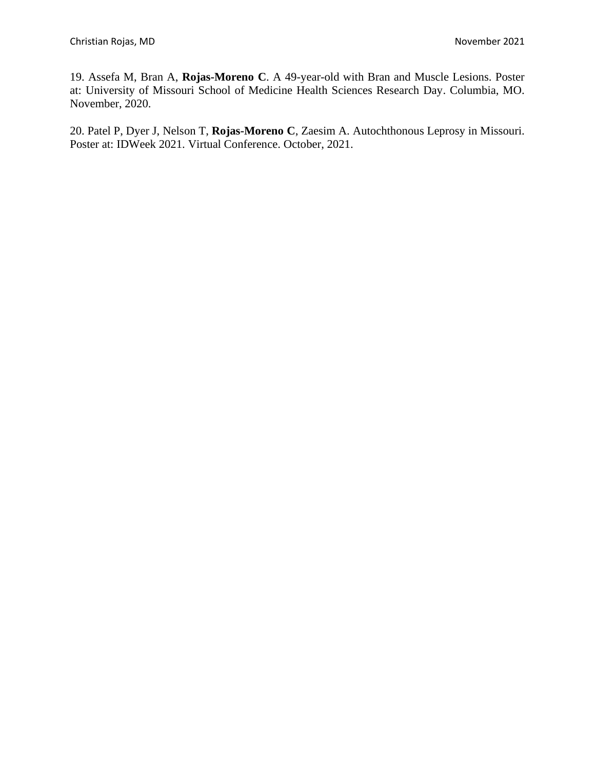19. Assefa M, Bran A, **Rojas-Moreno C**. A 49-year-old with Bran and Muscle Lesions. Poster at: University of Missouri School of Medicine Health Sciences Research Day. Columbia, MO. November, 2020.

20. Patel P, Dyer J, Nelson T, **Rojas-Moreno C**, Zaesim A. Autochthonous Leprosy in Missouri. Poster at: IDWeek 2021. Virtual Conference. October, 2021.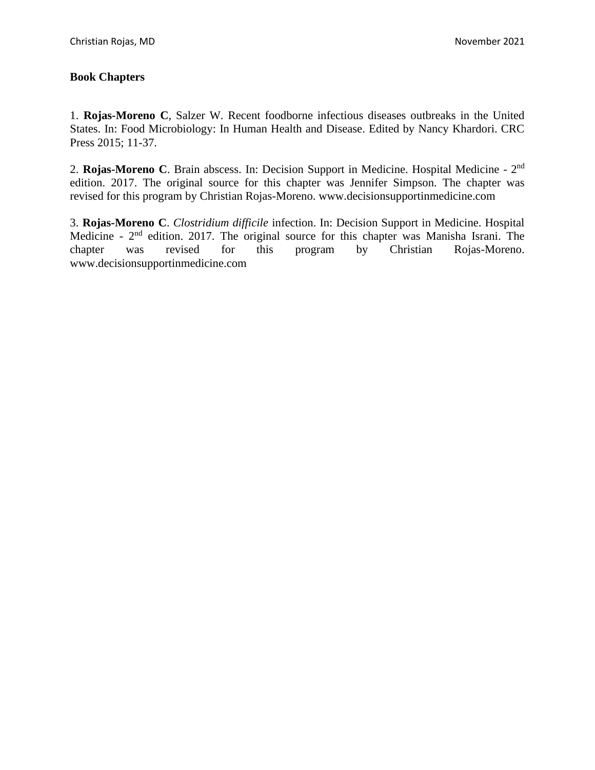## **Book Chapters**

1. **Rojas-Moreno C**, Salzer W. Recent foodborne infectious diseases outbreaks in the United States. In: Food Microbiology: In Human Health and Disease. Edited by Nancy Khardori. CRC Press 2015; 11-37.

2. Rojas-Moreno C. Brain abscess. In: Decision Support in Medicine. Hospital Medicine - 2<sup>nd</sup> edition. 2017. The original source for this chapter was Jennifer Simpson. The chapter was revised for this program by Christian Rojas-Moreno. www.decisionsupportinmedicine.com

3. **Rojas-Moreno C**. *Clostridium difficile* infection. In: Decision Support in Medicine. Hospital Medicine -  $2<sup>nd</sup>$  edition. 2017. The original source for this chapter was Manisha Israni. The chapter was revised for this program by Christian Rojas-Moreno. www.decisionsupportinmedicine.com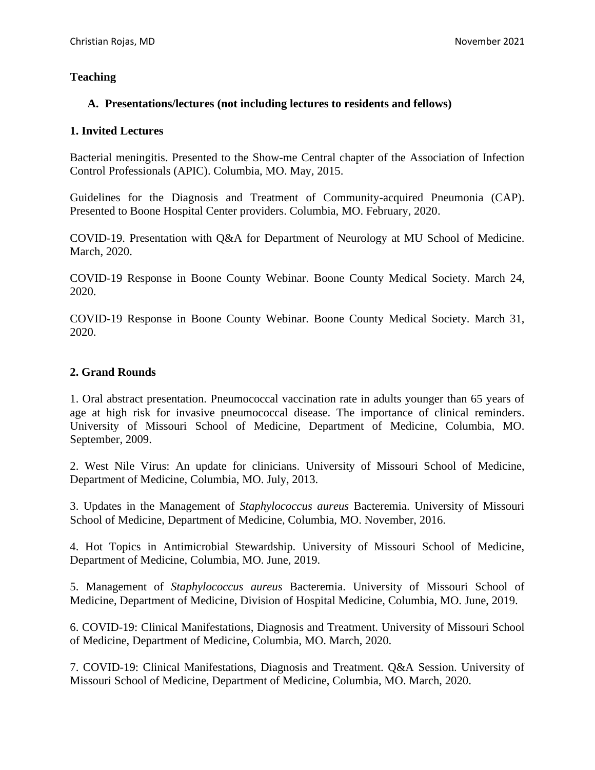## **Teaching**

## **A. Presentations/lectures (not including lectures to residents and fellows)**

### **1. Invited Lectures**

Bacterial meningitis. Presented to the Show-me Central chapter of the Association of Infection Control Professionals (APIC). Columbia, MO. May, 2015.

Guidelines for the Diagnosis and Treatment of Community-acquired Pneumonia (CAP). Presented to Boone Hospital Center providers. Columbia, MO. February, 2020.

COVID-19. Presentation with Q&A for Department of Neurology at MU School of Medicine. March, 2020.

COVID-19 Response in Boone County Webinar. Boone County Medical Society. March 24, 2020.

COVID-19 Response in Boone County Webinar. Boone County Medical Society. March 31, 2020.

## **2. Grand Rounds**

1. Oral abstract presentation. Pneumococcal vaccination rate in adults younger than 65 years of age at high risk for invasive pneumococcal disease. The importance of clinical reminders. University of Missouri School of Medicine, Department of Medicine, Columbia, MO. September, 2009.

2. West Nile Virus: An update for clinicians. University of Missouri School of Medicine, Department of Medicine, Columbia, MO. July, 2013.

3. Updates in the Management of *Staphylococcus aureus* Bacteremia. University of Missouri School of Medicine, Department of Medicine, Columbia, MO. November, 2016.

4. Hot Topics in Antimicrobial Stewardship. University of Missouri School of Medicine, Department of Medicine, Columbia, MO. June, 2019.

5. Management of *Staphylococcus aureus* Bacteremia. University of Missouri School of Medicine, Department of Medicine, Division of Hospital Medicine, Columbia, MO. June, 2019.

6. COVID-19: Clinical Manifestations, Diagnosis and Treatment. University of Missouri School of Medicine, Department of Medicine, Columbia, MO. March, 2020.

7. COVID-19: Clinical Manifestations, Diagnosis and Treatment. Q&A Session. University of Missouri School of Medicine, Department of Medicine, Columbia, MO. March, 2020.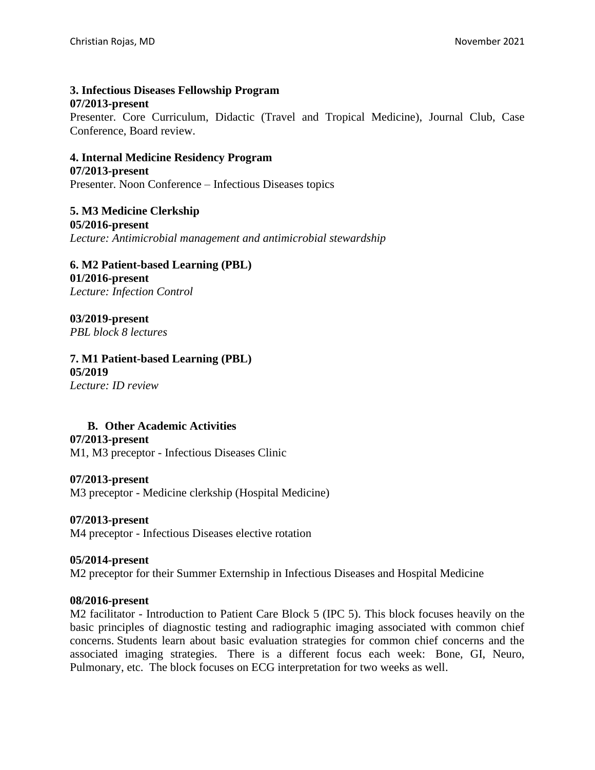### **3. Infectious Diseases Fellowship Program 07/2013-present**

Presenter. Core Curriculum, Didactic (Travel and Tropical Medicine), Journal Club, Case Conference, Board review.

#### **4. Internal Medicine Residency Program 07/2013-present** Presenter. Noon Conference – Infectious Diseases topics

**5. M3 Medicine Clerkship 05/2016-present** *Lecture: Antimicrobial management and antimicrobial stewardship*

### **6. M2 Patient-based Learning (PBL) 01/2016-present** *Lecture: Infection Control*

**03/2019-present** *PBL block 8 lectures*

# **7. M1 Patient-based Learning (PBL) 05/2019**

*Lecture: ID review*

## **B. Other Academic Activities**

### **07/2013-present**

M1, M3 preceptor - Infectious Diseases Clinic

### **07/2013-present**

M3 preceptor - Medicine clerkship (Hospital Medicine)

### **07/2013-present**

M4 preceptor - Infectious Diseases elective rotation

### **05/2014-present**

M2 preceptor for their Summer Externship in Infectious Diseases and Hospital Medicine

### **08/2016-present**

M2 facilitator - Introduction to Patient Care Block 5 (IPC 5). This block focuses heavily on the basic principles of diagnostic testing and radiographic imaging associated with common chief concerns. Students learn about basic evaluation strategies for common chief concerns and the associated imaging strategies. There is a different focus each week: Bone, GI, Neuro, Pulmonary, etc. The block focuses on ECG interpretation for two weeks as well.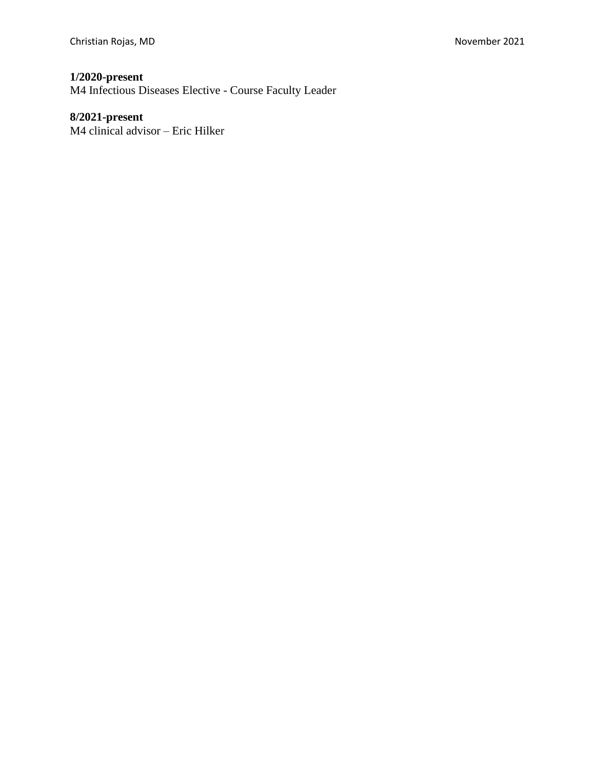# **1/2020-present**

M4 Infectious Diseases Elective - Course Faculty Leader

# **8/2021-present**

M4 clinical advisor – Eric Hilker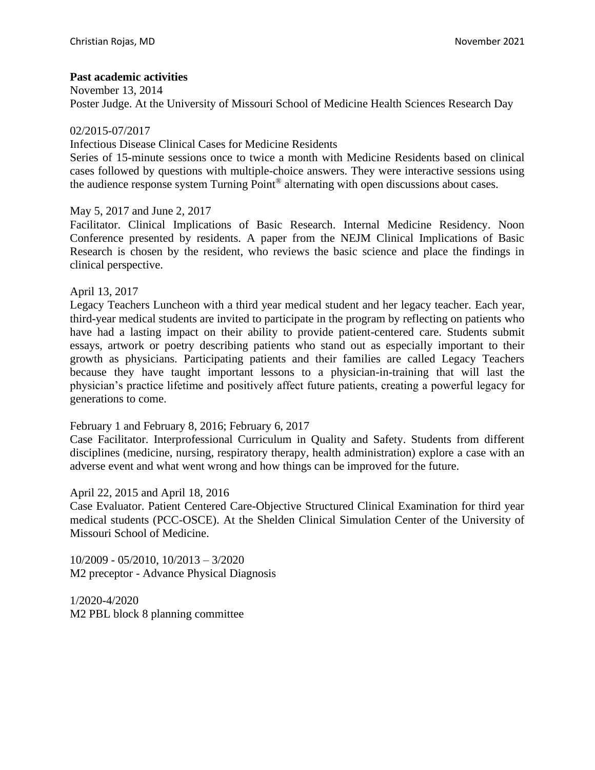### **Past academic activities**

November 13, 2014 Poster Judge. At the University of Missouri School of Medicine Health Sciences Research Day

02/2015-07/2017

Infectious Disease Clinical Cases for Medicine Residents

Series of 15-minute sessions once to twice a month with Medicine Residents based on clinical cases followed by questions with multiple-choice answers. They were interactive sessions using the audience response system Turning Point® alternating with open discussions about cases.

May 5, 2017 and June 2, 2017

Facilitator. Clinical Implications of Basic Research. Internal Medicine Residency. Noon Conference presented by residents. A paper from the NEJM Clinical Implications of Basic Research is chosen by the resident, who reviews the basic science and place the findings in clinical perspective.

April 13, 2017

Legacy Teachers Luncheon with a third year medical student and her legacy teacher. Each year, third-year medical students are invited to participate in the program by reflecting on patients who have had a lasting impact on their ability to provide patient-centered care. Students submit essays, artwork or poetry describing patients who stand out as especially important to their growth as physicians. Participating patients and their families are called Legacy Teachers because they have taught important lessons to a physician-in-training that will last the physician's practice lifetime and positively affect future patients, creating a powerful legacy for generations to come.

February 1 and February 8, 2016; February 6, 2017

Case Facilitator. Interprofessional Curriculum in Quality and Safety. Students from different disciplines (medicine, nursing, respiratory therapy, health administration) explore a case with an adverse event and what went wrong and how things can be improved for the future.

April 22, 2015 and April 18, 2016

Case Evaluator. Patient Centered Care-Objective Structured Clinical Examination for third year medical students (PCC-OSCE). At the Shelden Clinical Simulation Center of the University of Missouri School of Medicine.

10/2009 - 05/2010, 10/2013 – 3/2020 M2 preceptor - Advance Physical Diagnosis

1/2020-4/2020 M2 PBL block 8 planning committee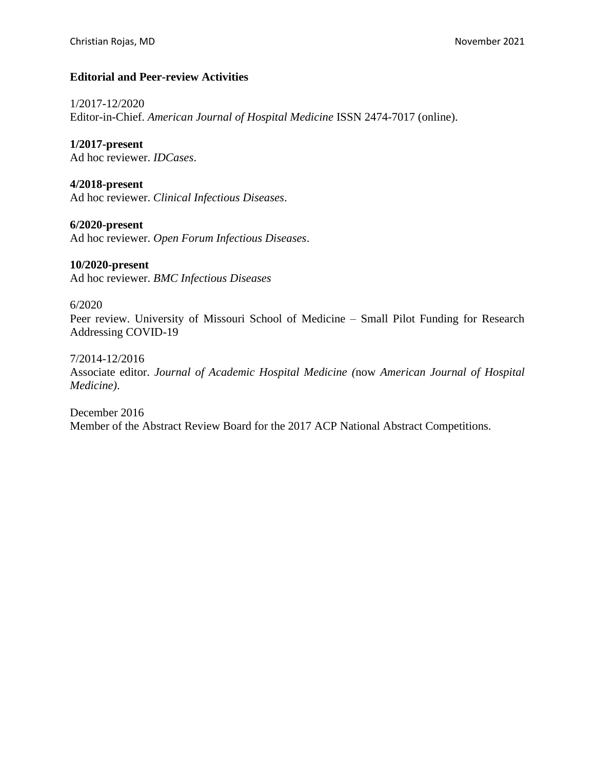### **Editorial and Peer-review Activities**

1/2017-12/2020 Editor-in-Chief. *American Journal of Hospital Medicine* ISSN 2474-7017 (online).

**1/2017-present** Ad hoc reviewer. *IDCases*.

**4/2018-present** Ad hoc reviewer. *Clinical Infectious Diseases*.

**6/2020-present** Ad hoc reviewer. *Open Forum Infectious Diseases*.

### **10/2020-present**

Ad hoc reviewer. *BMC Infectious Diseases*

6/2020

Peer review. University of Missouri School of Medicine – Small Pilot Funding for Research Addressing COVID-19

7/2014-12/2016

Associate editor. *Journal of Academic Hospital Medicine (*now *American Journal of Hospital Medicine)*.

December 2016 Member of the Abstract Review Board for the 2017 ACP National Abstract Competitions.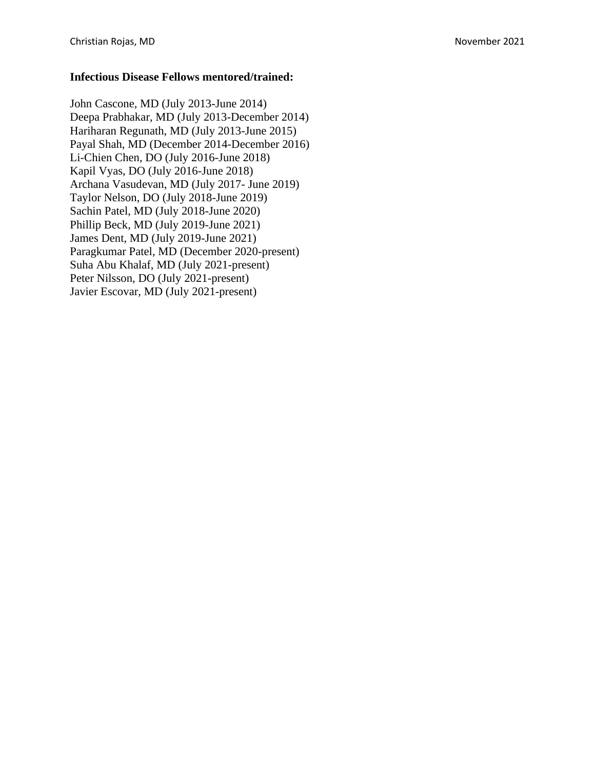### **Infectious Disease Fellows mentored/trained:**

John Cascone, MD (July 2013 -June 2014) Deepa Prabhakar, MD (July 2013 -December 2014) Hariharan Regunath, MD (July 2013 -June 2015) Payal Shah, MD (December 2014 -December 2016) Li-Chien Chen, DO (July 2016-June 2018) Kapil Vyas, DO (July 2016 -June 2018) Archana Vasudevan, MD (July 2017 - June 2019 ) Taylor Nelson, DO (July 2018 -June 2019 ) Sachin Patel, MD (July 2018 -June 2020 ) Phillip Beck, MD (July 2019-June 2021) James Dent, MD (July 2019 -June 2021 ) Paragkumar Patel, MD (December 2020 -present ) Suha Abu Khalaf, MD (July 2021 -present) Peter Nilsson, DO (July 2021 -present) Javier Escovar, MD (July 2021 -present)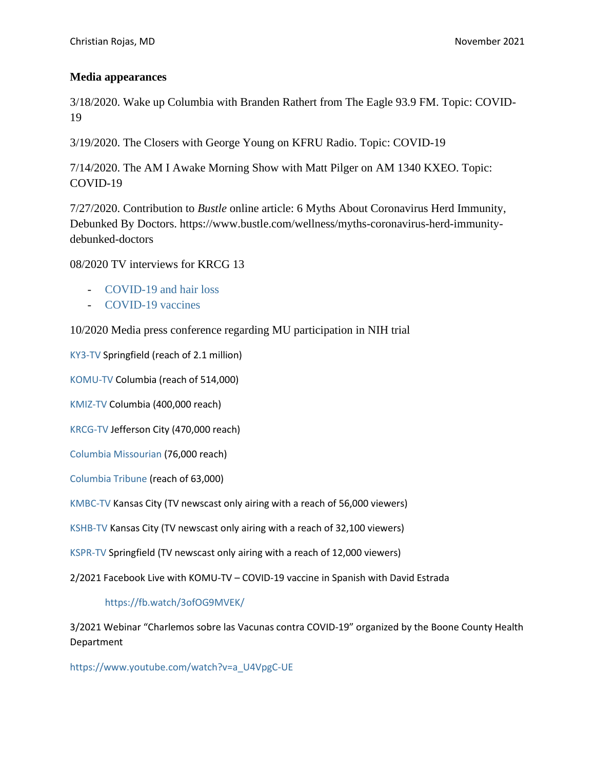### **Media appearances**

3/18/2020. Wake up Columbia with Branden Rathert from The Eagle 93.9 FM. Topic: COVID-19

3/19/2020. The Closers with George Young on KFRU Radio. Topic: COVID-19

7/14/2020. The AM I Awake Morning Show with Matt Pilger on AM 1340 KXEO. Topic: COVID-19

7/27/2020. Contribution to *Bustle* online article: 6 Myths About Coronavirus Herd Immunity, Debunked By Doctors. [https://www.bustle.com/wellness/myths-coronavirus-herd-immunity](https://www.bustle.com/wellness/myths-coronavirus-herd-immunity-debunked-doctors)[debunked-doctors](https://www.bustle.com/wellness/myths-coronavirus-herd-immunity-debunked-doctors)

08/2020 TV interviews for KRCG 13

- [COVID-19 and hair loss](:%20https:/krcgtv.com/news/local/hair-loss-now-considered-long-term-symptom-of-covid-19)
- [COVID-19 vaccines](https://krcgtv.com/news/local/local-health-experts-weigh-in-on-latest-coronavirus-vaccine-trials)

10/2020 Media press conference regarding MU participation in NIH trial

[KY3-TV](https://www.ky3.com/2020/10/19/university-of-missouri-one-of-first-institutions-to-participate-in-a-new-international-covid-19-treatment-trial/) Springfield (reach of 2.1 million)

[KOMU-TV](https://www.komu.com/news/covid19/mu-school-of-medicine-joins-covid-19-clinical-trial/article_49b72f12-1237-11eb-9858-9f5c07b9c633.html) Columbia (reach of 514,000)

[KMIZ-TV](https://abc17news.com/news/coronavirus/2020/10/19/mu-among-first-institutions-to-enroll-patient-in-international-covid-19-clinical-trial/) Columbia (400,000 reach)

[KRCG-TV](https://krcgtv.com/news/local/mu-school-of-medicine-a-part-of-international-covid-19-clinical-trial) Jefferson City (470,000 reach)

[Columbia Missourian](https://www.columbiamissourian.com/news/mu-school-of-medicine-enrolls-patient-in-covid-19-clinical-trial/article_2f681c64-122a-11eb-a5de-132b8efa0046.html) (76,000 reach)

[Columbia Tribune](https://www.columbiatribune.com/story/news/healthcare/2020/10/19/university-missouri-medical-school-conduct-nih-covid-19-trial/5980316002/) (reach of 63,000)

[KMBC-TV](https://www.iqmediacorp.com/ClipPlayer/?ClipID=0557a917-d9db-4adb-854c-7a16c4314ce0) Kansas City (TV newscast only airing with a reach of 56,000 viewers)

[KSHB-TV](https://www.iqmediacorp.com/ClipPlayer/?ClipID=a046cc8b-eb3d-4496-9117-63ecc8b30f42) Kansas City (TV newscast only airing with a reach of 32,100 viewers)

[KSPR-TV](https://www.iqmediacorp.com/ClipPlayer/?ClipID=a046cc8b-eb3d-4496-9117-63ecc8b30f42) Springfield (TV newscast only airing with a reach of 12,000 viewers)

2/2021 Facebook Live with KOMU-TV – COVID-19 vaccine in Spanish with David Estrada

<https://fb.watch/3ofOG9MVEK/>

3/2021 Webinar "Charlemos sobre las Vacunas contra COVID-19" organized by the Boone County Health Department

[https://www.youtube.com/watch?v=a\\_U4VpgC-UE](https://nam02.safelinks.protection.outlook.com/?url=https%3A%2F%2Fwww.youtube.com%2Fwatch%3Fv%3Da_U4VpgC-UE&data=04%7C01%7C%7C764fbbfffa854911a99408d8eaeb8312%7Ce3fefdbef7e9401ba51a355e01b05a89%7C0%7C0%7C637517644526362620%7CUnknown%7CTWFpbGZsb3d8eyJWIjoiMC4wLjAwMDAiLCJQIjoiV2luMzIiLCJBTiI6Ik1haWwiLCJXVCI6Mn0%3D%7C1000&sdata=Zj3mmM4c5vzWqzLX0dxKHl6Hqt3YSnNLas5%2Fne3LLm0%3D&reserved=0)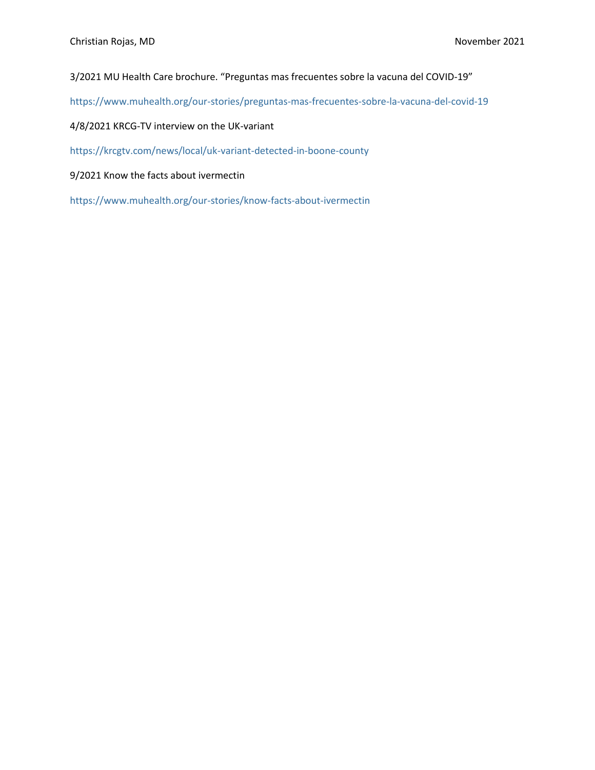3/2021 MU Health Care brochure. "Preguntas mas frecuentes sobre la vacuna del COVID-19"

<https://www.muhealth.org/our-stories/preguntas-mas-frecuentes-sobre-la-vacuna-del-covid-19>

4/8/2021 KRCG-TV interview on the UK-variant

[https://krcgtv.com/news/local/uk-variant-detected-in-boone-county](https://nam02.safelinks.protection.outlook.com/?url=https%3A%2F%2Fkrcgtv.com%2Fnews%2Flocal%2Fuk-variant-detected-in-boone-county&data=04%7C01%7C%7Ca989249499434e41c91908d90b22d279%7Ce3fefdbef7e9401ba51a355e01b05a89%7C0%7C0%7C637553066481864434%7CUnknown%7CTWFpbGZsb3d8eyJWIjoiMC4wLjAwMDAiLCJQIjoiV2luMzIiLCJBTiI6Ik1haWwiLCJXVCI6Mn0%3D%7C1000&sdata=MXXp1p3nvZjr%2BxeQInjjnCFE6DCjGNFU0Lj%2BVBQWVS8%3D&reserved=0)

9/2021 Know the facts about ivermectin

<https://www.muhealth.org/our-stories/know-facts-about-ivermectin>